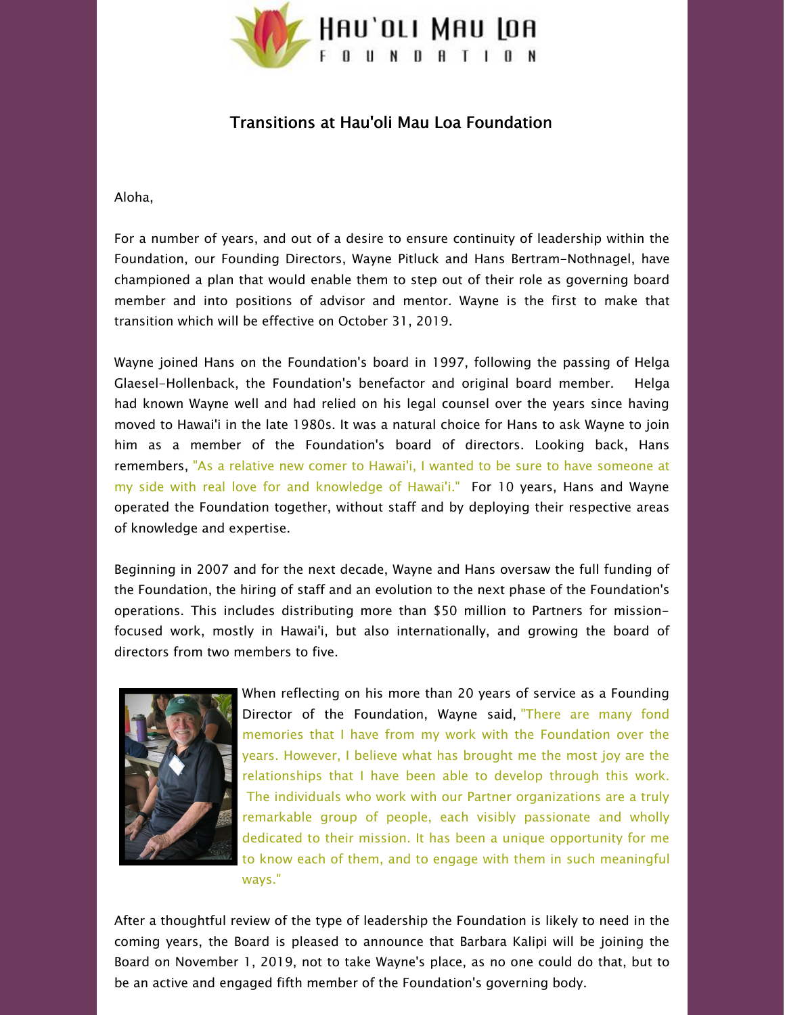

## Transitions at Hau'oli Mau Loa Foundation

## Aloha,

For a number of years, and out of a desire to ensure continuity of leadership within the Foundation, our Founding Directors, Wayne Pitluck and Hans Bertram-Nothnagel, have championed a plan that would enable them to step out of their role as governing board member and into positions of advisor and mentor. Wayne is the first to make that transition which will be effective on October 31, 2019.

Wayne joined Hans on the Foundation's board in 1997, following the passing of Helga Glaesel-Hollenback, the Foundation's benefactor and original board member. Helga had known Wayne well and had relied on his legal counsel over the years since having moved to Hawai'i in the late 1980s. It was a natural choice for Hans to ask Wayne to join him as a member of the Foundation's board of directors. Looking back, Hans remembers, "As a relative new comer to Hawai'i, I wanted to be sure to have someone at my side with real love for and knowledge of Hawai'i." For 10 years, Hans and Wayne operated the Foundation together, without staff and by deploying their respective areas of knowledge and expertise.

Beginning in 2007 and for the next decade, Wayne and Hans oversaw the full funding of the Foundation, the hiring of staff and an evolution to the next phase of the Foundation's operations. This includes distributing more than \$50 million to Partners for missionfocused work, mostly in Hawai'i, but also internationally, and growing the board of directors from two members to five.



When reflecting on his more than 20 years of service as a Founding Director of the Foundation, Wayne said, "There are many fond memories that I have from my work with the Foundation over the years. However, I believe what has brought me the most joy are the relationships that I have been able to develop through this work. The individuals who work with our Partner organizations are a truly remarkable group of people, each visibly passionate and wholly dedicated to their mission. It has been a unique opportunity for me to know each of them, and to engage with them in such meaningful ways."

After a thoughtful review of the type of leadership the Foundation is likely to need in the coming years, the Board is pleased to announce that Barbara Kalipi will be joining the Board on November 1, 2019, not to take Wayne's place, as no one could do that, but to be an active and engaged fifth member of the Foundation's governing body.